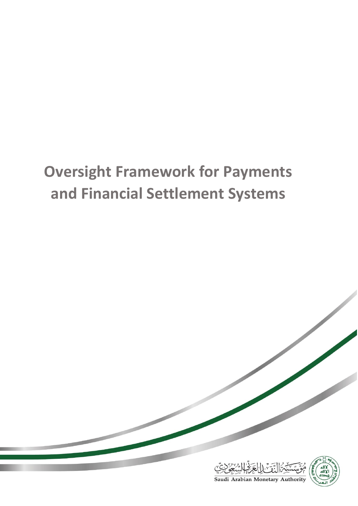# **Oversight Framework for Payments and Financial Settlement Systems**



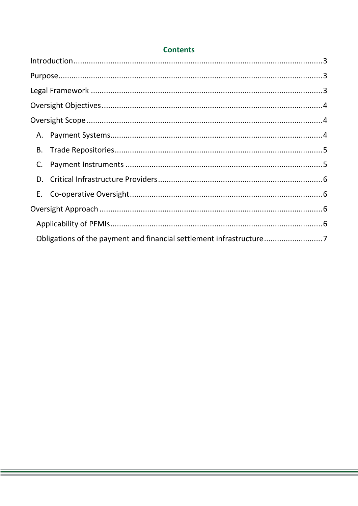| В. |                                                                     |  |  |
|----|---------------------------------------------------------------------|--|--|
|    |                                                                     |  |  |
|    |                                                                     |  |  |
|    |                                                                     |  |  |
|    |                                                                     |  |  |
|    |                                                                     |  |  |
|    | Obligations of the payment and financial settlement infrastructure7 |  |  |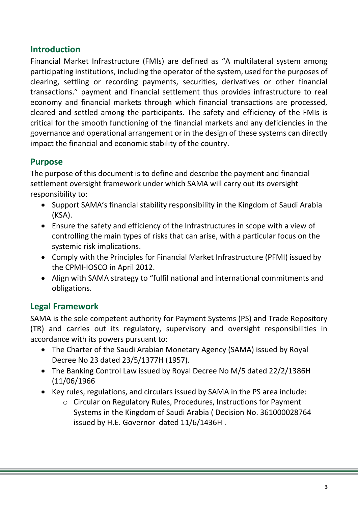# <span id="page-2-0"></span>**Introduction**

Financial Market Infrastructure (FMIs) are defined as "A multilateral system among participating institutions, including the operator of the system, used for the purposes of clearing, settling or recording payments, securities, derivatives or other financial transactions." payment and financial settlement thus provides infrastructure to real economy and financial markets through which financial transactions are processed, cleared and settled among the participants. The safety and efficiency of the FMIs is critical for the smooth functioning of the financial markets and any deficiencies in the governance and operational arrangement or in the design of these systems can directly impact the financial and economic stability of the country.

## <span id="page-2-1"></span>**Purpose**

The purpose of this document is to define and describe the payment and financial settlement oversight framework under which SAMA will carry out its oversight responsibility to:

- Support SAMA's financial stability responsibility in the Kingdom of Saudi Arabia (KSA).
- Ensure the safety and efficiency of the Infrastructures in scope with a view of controlling the main types of risks that can arise, with a particular focus on the systemic risk implications.
- Comply with the Principles for Financial Market Infrastructure (PFMI) issued by the CPMI-IOSCO in April 2012.
- Align with SAMA strategy to "fulfil national and international commitments and obligations.

## <span id="page-2-2"></span>**Legal Framework**

SAMA is the sole competent authority for Payment Systems (PS) and Trade Repository (TR) and carries out its regulatory, supervisory and oversight responsibilities in accordance with its powers pursuant to:

- The Charter of the Saudi Arabian Monetary Agency (SAMA) issued by Royal Decree No 23 dated 23/5/1377H (1957).
- The Banking Control Law issued by Royal Decree No M/5 dated 22/2/1386H (11/06/1966
- Key rules, regulations, and circulars issued by SAMA in the PS area include:
	- o Circular on Regulatory Rules, Procedures, Instructions for Payment Systems in the Kingdom of Saudi Arabia ( Decision No. 361000028764 issued by H.E. Governor dated 11/6/1436H .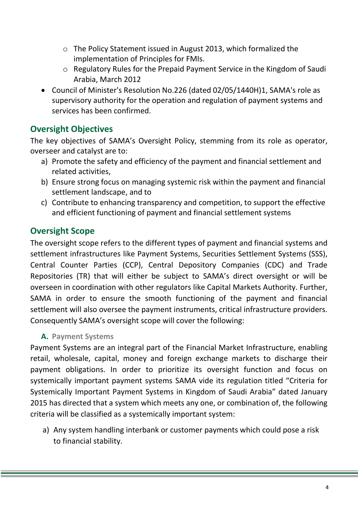- o The Policy Statement issued in August 2013, which formalized the implementation of Principles for FMIs.
- o Regulatory Rules for the Prepaid Payment Service in the Kingdom of Saudi Arabia, March 2012
- Council of Minister's Resolution No.226 (dated 02/05/1440H)1, SAMA's role as supervisory authority for the operation and regulation of payment systems and services has been confirmed.

# <span id="page-3-0"></span>**Oversight Objectives**

The key objectives of SAMA's Oversight Policy, stemming from its role as operator, overseer and catalyst are to:

- a) Promote the safety and efficiency of the payment and financial settlement and related activities,
- b) Ensure strong focus on managing systemic risk within the payment and financial settlement landscape, and to
- c) Contribute to enhancing transparency and competition, to support the effective and efficient functioning of payment and financial settlement systems

# <span id="page-3-1"></span>**Oversight Scope**

The oversight scope refers to the different types of payment and financial systems and settlement infrastructures like Payment Systems, Securities Settlement Systems (SSS), Central Counter Parties (CCP), Central Depository Companies (CDC) and Trade Repositories (TR) that will either be subject to SAMA's direct oversight or will be overseen in coordination with other regulators like Capital Markets Authority. Further, SAMA in order to ensure the smooth functioning of the payment and financial settlement will also oversee the payment instruments, critical infrastructure providers. Consequently SAMA's oversight scope will cover the following:

#### <span id="page-3-2"></span>**A. Payment Systems**

Payment Systems are an integral part of the Financial Market Infrastructure, enabling retail, wholesale, capital, money and foreign exchange markets to discharge their payment obligations. In order to prioritize its oversight function and focus on systemically important payment systems SAMA vide its regulation titled "Criteria for Systemically Important Payment Systems in Kingdom of Saudi Arabia" dated January 2015 has directed that a system which meets any one, or combination of, the following criteria will be classified as a systemically important system:

a) Any system handling interbank or customer payments which could pose a risk to financial stability.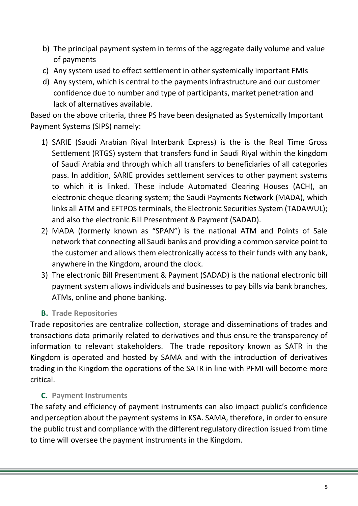- b) The principal payment system in terms of the aggregate daily volume and value of payments
- c) Any system used to effect settlement in other systemically important FMIs
- d) Any system, which is central to the payments infrastructure and our customer confidence due to number and type of participants, market penetration and lack of alternatives available.

Based on the above criteria, three PS have been designated as Systemically Important Payment Systems (SIPS) namely:

- 1) SARIE (Saudi Arabian Riyal Interbank Express) is the is the Real Time Gross Settlement (RTGS) system that transfers fund in Saudi Riyal within the kingdom of Saudi Arabia and through which all transfers to beneficiaries of all categories pass. In addition, SARIE provides settlement services to other payment systems to which it is linked. These include Automated Clearing Houses (ACH), an electronic cheque clearing system; the Saudi Payments Network (MADA), which links all ATM and EFTPOS terminals, the Electronic Securities System (TADAWUL); and also the electronic Bill Presentment & Payment (SADAD).
- 2) MADA (formerly known as "SPAN") is the national ATM and Points of Sale network that connecting all Saudi banks and providing a common service point to the customer and allows them electronically access to their funds with any bank, anywhere in the Kingdom, around the clock.
- 3) The electronic Bill Presentment & Payment (SADAD) is the national electronic bill payment system allows individuals and businesses to pay bills via bank branches, ATMs, online and phone banking.
- **B. Trade Repositories**

<span id="page-4-0"></span>Trade repositories are centralize collection, storage and disseminations of trades and transactions data primarily related to derivatives and thus ensure the transparency of information to relevant stakeholders. The trade repository known as SATR in the Kingdom is operated and hosted by SAMA and with the introduction of derivatives trading in the Kingdom the operations of the SATR in line with PFMI will become more critical.

#### **C. Payment Instruments**

<span id="page-4-1"></span>The safety and efficiency of payment instruments can also impact public's confidence and perception about the payment systems in KSA. SAMA, therefore, in order to ensure the public trust and compliance with the different regulatory direction issued from time to time will oversee the payment instruments in the Kingdom.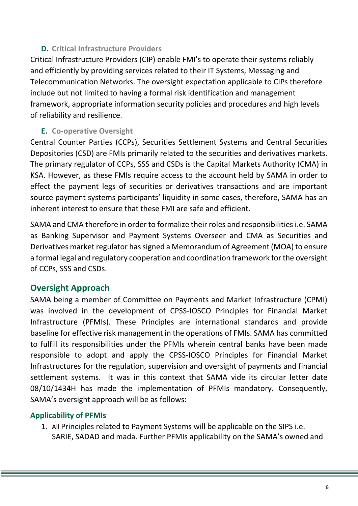## **D. Critical Infrastructure Providers**

<span id="page-5-0"></span>Critical Infrastructure Providers (CIP) enable FMI's to operate their systems reliably and efficiently by providing services related to their IT Systems, Messaging and Telecommunication Networks. The oversight expectation applicable to CIPs therefore include but not limited to having a formal risk identification and management framework, appropriate information security policies and procedures and high levels of reliability and resilience.

#### <span id="page-5-1"></span>**E. Co-operative Oversight**

Central Counter Parties (CCPs), Securities Settlement Systems and Central Securities Depositories (CSD) are FMIs primarily related to the securities and derivatives markets. The primary regulator of CCPs, SSS and CSDs is the Capital Markets Authority (CMA) in KSA. However, as these FMIs require access to the account held by SAMA in order to effect the payment legs of securities or derivatives transactions and are important source payment systems participants' liquidity in some cases, therefore, SAMA has an inherent interest to ensure that these FMI are safe and efficient.

SAMA and CMA therefore in order to formalize their roles and responsibilities i.e. SAMA as Banking Supervisor and Payment Systems Overseer and CMA as Securities and Derivatives market regulator has signed a Memorandum of Agreement (MOA) to ensure a formal legal and regulatory cooperation and coordination framework for the oversight of CCPs, SSS and CSDs.

## <span id="page-5-2"></span>**Oversight Approach**

SAMA being a member of Committee on Payments and Market Infrastructure (CPMI) was involved in the development of CPSS-IOSCO Principles for Financial Market Infrastructure (PFMIs). These Principles are international standards and provide baseline for effective risk management in the operations of FMIs. SAMA has committed to fulfill its responsibilities under the PFMIs wherein central banks have been made responsible to adopt and apply the CPSS-IOSCO Principles for Financial Market Infrastructures for the regulation, supervision and oversight of payments and financial settlement systems. It was in this context that SAMA vide its circular letter date 08/10/1434H has made the implementation of PFMIs mandatory. Consequently, SAMA's oversight approach will be as follows:

#### <span id="page-5-3"></span>**Applicability of PFMIs**

1. All Principles related to Payment Systems will be applicable on the SIPS i.e. SARIE, SADAD and mada. Further PFMIs applicability on the SAMA's owned and